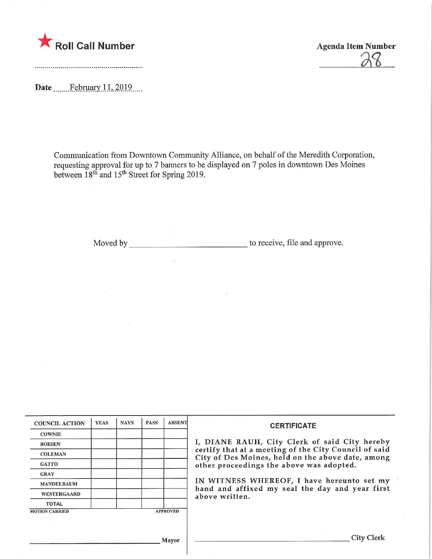

Date ........February. 1.L.2019.

Agenda Item Number

Communication from Downtown Community Alliance, on behalf of the Meredith Corporation, requesting approval for up to 7 banners to be displayed on 7 poles in downtown Des Moines between 18th and 15th Street for Spring 2019.

Moved by to receive, file and approve.

| <b>COUNCIL ACTION</b> | <b>YEAS</b> | <b>NAYS</b> | <b>PASS</b> | <b>ABSENT</b>   | <b>CERTIFICATE</b>                                                                                                                                                                                      |  |  |
|-----------------------|-------------|-------------|-------------|-----------------|---------------------------------------------------------------------------------------------------------------------------------------------------------------------------------------------------------|--|--|
| <b>COWNIE</b>         |             |             |             |                 |                                                                                                                                                                                                         |  |  |
| <b>BOESEN</b>         |             |             |             |                 | I, DIANE RAUH, City Clerk of said City hereby<br>certify that at a meeting of the City Council of said<br>City of Des Moines, held on the above date, among<br>other proceedings the above was adopted. |  |  |
| <b>COLEMAN</b>        |             |             |             |                 |                                                                                                                                                                                                         |  |  |
| <b>GATTO</b>          |             |             |             |                 |                                                                                                                                                                                                         |  |  |
| <b>GRAY</b>           |             |             |             |                 |                                                                                                                                                                                                         |  |  |
| <b>MANDELBAUM</b>     |             |             |             |                 | IN WITNESS WHEREOF, I have hereunto set my<br>hand and affixed my seal the day and year first<br>above written.                                                                                         |  |  |
| <b>WESTERGAARD</b>    |             |             |             |                 |                                                                                                                                                                                                         |  |  |
| <b>TOTAL</b>          |             |             |             |                 |                                                                                                                                                                                                         |  |  |
| <b>MOTION CARRIED</b> |             |             |             | <b>APPROVED</b> |                                                                                                                                                                                                         |  |  |
|                       |             |             |             |                 |                                                                                                                                                                                                         |  |  |
|                       |             |             |             |                 |                                                                                                                                                                                                         |  |  |
|                       |             |             |             | Mayor           | City Clerk                                                                                                                                                                                              |  |  |

,1 layor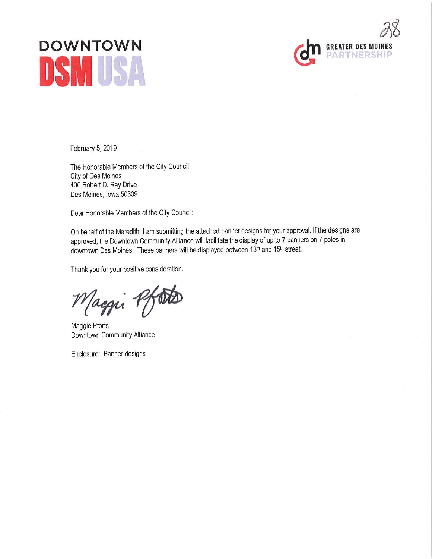## DOWNTOWN (GEREATER DES MOINES



February 5, 2019

The Honorable Members of the City Council City of Des Moines 400 Robert D. Ray Drive Des Moines, Iowa 50309

Dear Honorable Members of the City Council:

On behalf of the Meredith, I am submitting the attached banner designs for your approval. If the designs are approved, the Downtown Community Alliance will facilitate the display of up to 7 banners on 7 poles in downtown Des Moines. These banners will be displayed between 18<sup>th</sup> and 15<sup>th</sup> street.

Thank you for your positive consideration.

Maggi Pfoto

Maggie Pforts Downtown Community Alliance

Enclosure: Banner designs